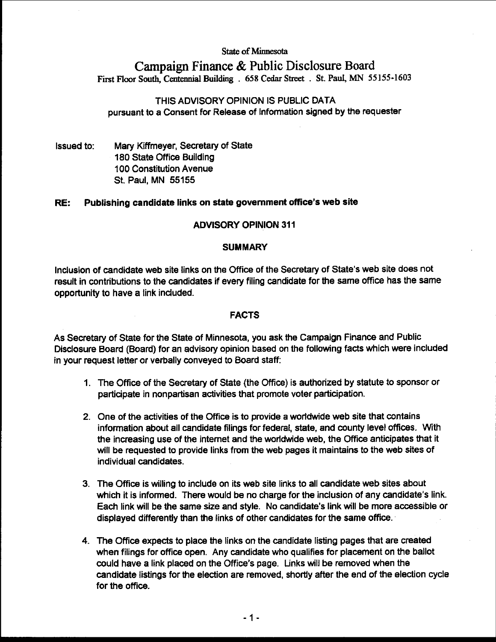# **State** of **Minnesota**

# **Campaign Finance** & **Public Disclosure Board First Floor South, Cmtemial Building** . **658 Cedar Street** . **St. Paul, MN 55155-1603**

# THIS ADVISORY OPINION IS PUBLIC DATA pursuant to a Consent for Release of Information signed by the requester

Issued to: Mary Kiffmeyer, Secretary of State 180 State Office Building 100 Constitution Avenue St. Paul, MN 55155

# RE: Publishing candidate links on state government office's web site

#### **ADVISORY OPINION 311**

#### **SUMMARY**

Inclusion of candidate web site links on the Office of the Secretary of State's web site does not result in contributions to the candidates if every filing candidate for the same office has the same opportunity to have a link included.

# **FACTS**

As Secretary of State for the State of Minnesota, you ask the Campaign Finance and Public Disclosure Board (Board) for an advisory opinion based on the following facts which were included in your request letter or verbally conveyed to Board staff:

- 1. The Office of the Secretary of State (the Office) is authorized by statute to sponsor or participate in nonpartisan activities that promote voter participation.
- 2. One of the activities of the Office is to provide a worldwide web site that contains information about all candidate filings for federal, state, and county level offices. With the increasing use of the internet and the worldwide web, the Office anticipates that it will be requested to provide links from the web pages it maintains to the web sites of individual candidates.
- 3. The Office is willing to include on its web site links to all candidate web sites about which it is informed. There would be no charge for the inclusion of any candidate's link. Each link will be the same size and style. No candidate's link will be more accessible or displayed differently than the links of other candidates for the same office.
- 4. The Office expects to place the links on the candidate listing pages that are created when filings for office open. Any candidate who qualifies for placement on the ballot could have a link placed on the Office's page. Links will be removed when the candidate listings for the election are removed, shortly after the end of the election cycle for the office.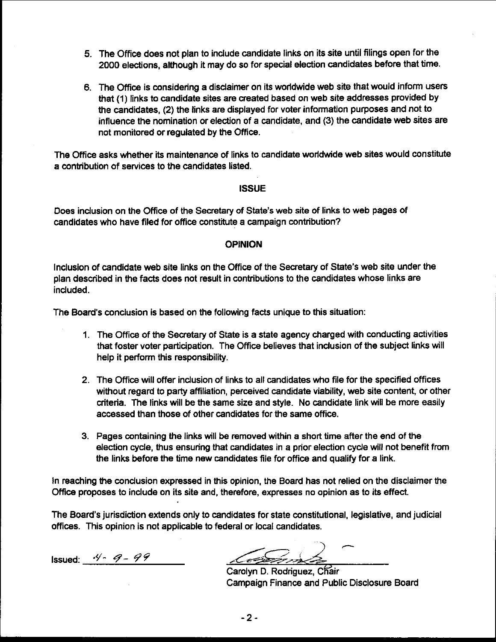- 5. The Office does not plan to include candidate links on its site until filings open for the 2000 elections, although it may do so for special election candidates before that time.
- **6.** The Office is considering a disclaimer on its worldwide web site that would inform users that (1) links to candidate sites are created based on web site addresses provided by the candidates, **(2)** the links are displayed for voter information purposes and not to influence the nomination or election of a candidate, and **(3)** the candidate web sites are not monitored or regulated by the Office.

The Office asks whether its maintenance of links to candidate worldwide web sites would constitute a contribution of services to the candidates listed.

# ISSUE

Does inclusion on the Office of the Secretary of State's web site of links to web pages of candidates who have filed for office constitute a campaign contribution?

# OPINION

Inclusion of candidate web site links on the Office of the Secretary of State's web site under the plan described in the facts does not result in contributions to the candidates whose links are included.

The Board's conclusion is based on the following facts unique to this situation:

- 1. The Office of the Secretary of State is a state agency charged with conducting activities that foster voter participation. The Office believes that inclusion of the subject links will help it perform this responsibility.
- **2.** The Office will offer indusion of links to all candidates who file for the specified offices without regard to party affiliation, perceived candidate viability, web site content, or other criteria. The links will be the same size and style. No candidate link will be more easily accessed than those of other candidates for the same office.
- 3. Pages containing the links will be removed within a short time after the end of the election cycle, thus ensuring that candidates in a prior election cycle will not benefit from the links before the time new candidates file for office and qualify for a link.

In reaching the conclusion expressed in this opinion, the Board has not relied on the disclaimer the Office proposes to include on its site and, therefore, expresses no opinion as to its effect.

The Board's jurisdiction extends only to candidates for state constitutional, legislative, and judicial offices. This opinion is not applicable to federal or local candidates.

Issued: **'9'- 4-** *99* 

<u>lastin</u>

Carolyn D. Rodriguez, Chair Campaign Finance and Public Disclosure Board